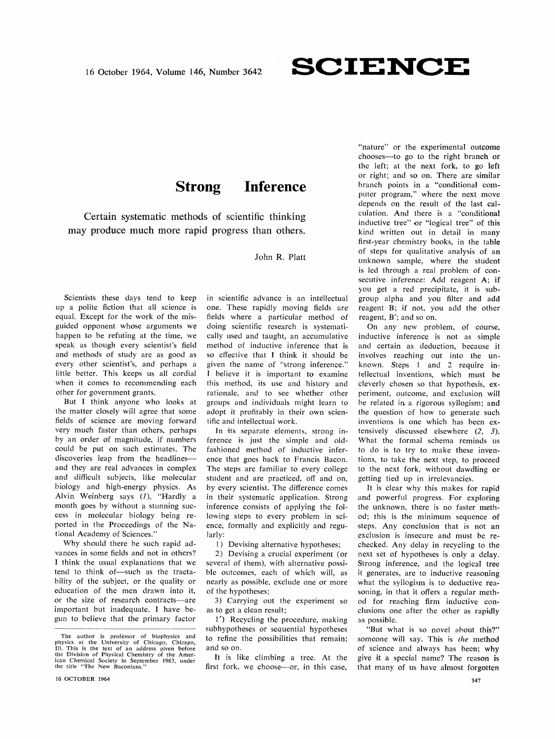**SCIE NCE** 

## **Strong Inference**

**Certain systematic methods of scientific thinking may produce much more rapid progress than others.** 

**John R. Platt** 

**Scientists these days tend to keep up a polite fiction that all science is equal. Except for the work of the misguided opponent whose arguments we happen to be refuting at the time, we speak as though every scientist's field and methods of study are as good as every other scientist's, and perhaps a little better. This keeps us all cordial when it comes to recommending each other for government grants.** 

**But I think anyone who looks at the matter closely will agree that some fields of science are moving forward very much faster than others, perhaps by an order of magnitude, if numbers could be put on such estimates. The discoveries leap from the headlinesand they are real advances in complex and difficult subjects, like molecular biology and high-energy physics. As Alvin Weinberg says (1), "Hardly a month goes by without a stunning success in molecular biology being reported in the Proceedings of the National Academy of Sciences."** 

**Why should there be such rapid advances in some fields and not in others? I think the usual explanations that we**  tend to think of-such as the tracta**bility of the subject, or the quality or education of the men drawn into it, or the size of research contracts-are important but inadequate. I have begun to believe that the primary factor** 

**in scientific advance is an intellectual one. These rapidly moving fields are fields where a particular method of doing scientific research is systematically used and taught, an accumulative method of inductive inference that is so effective that I think it should be given the name of "strong inference." I believe it is important to examine this method, its use and history and rationale, and to see whether other groups and individuals might learn to adopt it profitably in their own scientific and intellectual work.** 

**In its separate elements, strong inference is just the simple and oldfashioned method of inductive inference that goes back to Francis Bacon. The steps are familiar to every college student and are practiced, off and on, by every scientist. The difference comes in their systematic application. Strong inference consists of applying the following steps to every problem in science, formally and explicitly and regularly:** 

**1) Devising alternative hypotheses;** 

**2) Devising a crucial experiment (or several of them), with alternative possible outcomes, each of which will, as nearly as possible, exclude one or more of the hypotheses;** 

**3) Carrying out the experiment so as to get a clean result;** 

**1') Recycling the procedure, making subhypotheses or sequential hypotheses to refine the possibilities that remain; and so on.** 

**It is like climbing a tree. At the**  first fork, we choose-or, in this case,

**"nature" or the experimental outcome chooses-to go to the right branch or the left; at the next fork, to go left or right; and so on. There are similar branch points in a "conditional computer program," where the next move depends on the result of the last calculation. And there is a "conditional inductive tree" or "logical tree" of this kind written out in detail in many first-year chemistry books, in the table of steps for qualitative analysis of an unknown sample, where the student is led through a real problem of consecutive inference: Add reagent A; if you get a red precipitate, it is subgroup alpha and you filter and add reagent B; if not, you add the other reagent, B'; and so on.** 

**On any new problem, of course, inductive inference is not as simple and certain as deduction, because it involves reaching out into the unknown. Steps 1 and 2 require intellectual inventions, which must be cleverly chosen so that hypothesis, experiment, outcome, and exclusion will be related in. a rigorous syllogism; and the question of how to generate such inventions is one which has been extensively discussed elsewhere (2, 3). What the formal schema reminds us to do is to try to make these inventions, to take the next step, to proceed to the next fork, without dawdling or getting tied up in irrelevancies.** 

**It is clear why this makes for rapid and powerful progress. For exploring the unknown, there is no faster method; this is the minimum sequence of steps. Any conclusion that is not an exclusion is insecure and must be rechecked. Any delay in recycling to the next set of hypotheses is only a delay. Strong inference, and the logical tree it generates, are to inductive reasoning what the syllogism is to deductive reasoning, in that it offers a regular method for reaching firm inductive conclusions one after the other as rapidly as possible.** 

**"But what is so novel about this?" someone will say. This is the method of science and always has been; why give it a special name? The reason is that many of us have almost forgotten** 

**The author is professor of biophysics and physics at the University of Chicago, Chicago, Ill. This is the text of an address given before the Division of Physical Chemistry of the American Chemical Society in September 1963, under the title "The New Baconians."**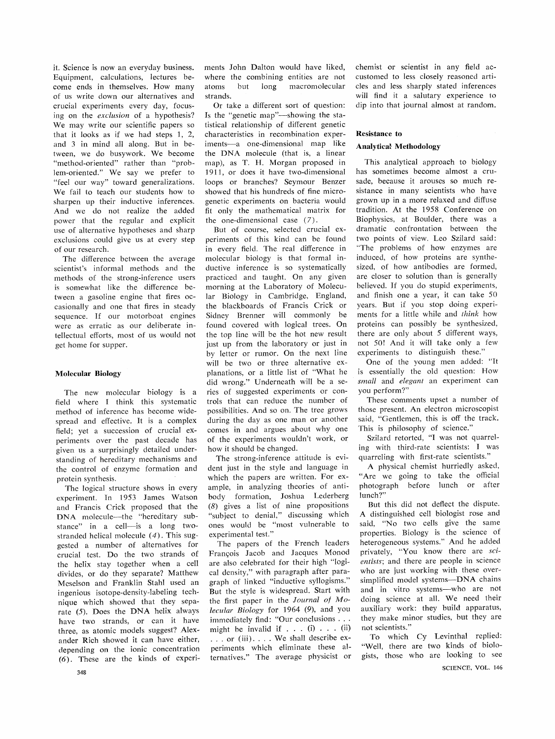**it. Science is now an everyday business. Equipment, calculations, lectures become ends in themselves. How many of us write down our alternatives and crucial experiments every day, focusing on the exclusion of a hypothesis? We may write our scientific papers so that it looks as if we had steps 1, 2, and 3 in mind all along. But in between, we do busywork. We become "method-oriented" rather than "problem-oriented." We say we prefer to "feel our way" toward generalizations. We fail to teach our students how to sharpen up their inductive inferences. And we do not realize the added power that the regular and explicit use of alternative hypotheses and sharp exclusions could give us at every step of our research.** 

**The difference between the average scientist's informal methods and the methods of the strong-inference users is somewhat like the difference between a gasoline engine that fires occasionally and one that fires in steady sequence. If our motorboat engines were as erratic as our deliberate intellectual efforts, most of us would not get home for supper.** 

#### **Molecular Biology**

**The new molecular biology is a field where I think this systematic method of inference has become widespread and effective. It is a complex field; yet a succession of crucial experiments over the past decade has given us a surprisingly detailed understanding of hereditary mechanisms and the control of enzyme formation and protein synthesis.** 

**The logical structure shows in every experiment. In 1953 James Watson and Francis Crick proposed that the**  DNA molecule---the "hereditary substance" in a cell-is a long two**stranded helical molecule (4). This suggested a number of alternatives for crucial test. Do the two strands of the helix stay together when a cell divides, or do they separate? Matthew Meselson and Franklin Stahl used an ingenious isotope-density-labeling technique which showed that they separate (5). Does the DNA helix always have two strands, or can it have three, as atomic models suggest? Alexander Rich showed it can have either, depending on the ionic concentration (6). These are the kinds of experi-**

**ments John Dalton would have liked,**  where the combining entities are not atoms but long macromolecular **long** macromolecular **strands.** 

**Or take a different sort of question:**  Is the "genetic map"—showing the sta**tistical relationship of different genetic characteristics in recombination experiments-a one-dimensional map like the DNA molecule (that is, a linear map), as T. H. Morgan proposed in 1911, or does it have two-dimensional loops or branches? Seymour Benzer showed that his hundreds of fine microgenetic experiments on bacteria would fit only the mathematical matrix for the one-dimensional case (7).** 

**But of course, selected crucial experiments of this kind can be found in every field. The real difference in molecular biology is that formal inductive inference is so systematically practiced and taught. On any given morning at the Laboratory of Molecular Biology in Cambridge, England, the blackboards of Francis Crick or Sidney Brenner will commonly be found covered with logical trees. On the top line will be the hot new result just up from the laboratory or just in by letter or rumor. On the next line will be two or three alternative explanations, or a little list of "What he did wrong." Underneath will be a series of suggested experiments or controls that can reduce the number of possibilities. And so on. The tree grows during the day as one man or another comes in and argues about why one of the experiments wouldn't work, or how it should be changed.** 

**The strong-inference attitude is evident just in the style and language in which the papers are written. For example, in analyzing theories of antibody formation, Joshua Lederberg (8) gives a list of nine propositions "subject to denial," discussing which ones would be "most vulnerable to experimental test."** 

**The papers of the French leaders Francois Jacob and Jacques Monod are also celebrated for their high "logical density," with paragraph after paragraph of linked "inductive syllogisms." But the style is widespread. Start with the first paper in the Journal of Molecular Biology for 1964 (9), and you immediately find: "Our conclusions . .. might be invalid if . . . (i) . .. (ii) ... or (iii). . . We shall describe experiments which eliminate these alternatives." The average physicist or** 

**chemist or scientist in any field accustomed to less closely reasoned articles and less sharply stated inferences will find it a salutary experience to dip into that journal almost at random.** 

#### **Resistance to**

#### **Analytical Methodology**

**This analytical approach to biology has sometimes become almost a crusade, because it arouses so much resistance in many scientists who have grown up in a more relaxed and diffuse tradition. At the 1958 Conference on Biophysics, at Boulder, there was a dramatic confrontation between the two points of view. Leo Szilard said: "The problems of how enzymes are induced, of how proteins are synthesized, of how antibodies are formed, are closer to solution than is generally believed. If you do stupid experiments, and finish one a year, it can take 50 years. But if you stop doing experiments for a little while and think how proteins can possibly be synthesized, there are only about 5 different ways, not 50! And it will take only a few experiments to distinguish these."** 

**One of the young men added: "It is essentially the old question: How small and elegant an experiment can you perform?"** 

**These comments upset a number of those present. An electron microscopist said, "Gentlemen, this is off the track. This is philosophy of science."** 

**Szilard retorted, "I was not quarreling with third-rate scientists: I was quarreling with first-rate scientists."** 

**A physical chemist hurriedly asked, "Are we going to take the official photograph before lunch or after lunch?"** 

**But this did not deflect the dispute. A distinguished cell biologist rose and said, "No two cells give the same properties. Biology is the science of heterogeneous systems." And he added privately, "You know there are scientists; and there are people in science who are just working with these oversimplified model systems-DNA chains and in vitro systems-who are not doing science at all. We need their auxiliary work: they build apparatus, they make minor studies, but they are not scientists."** 

**To which Cy Levinthal replied: "Well, there are two kinds of biologists, those who are looking to see**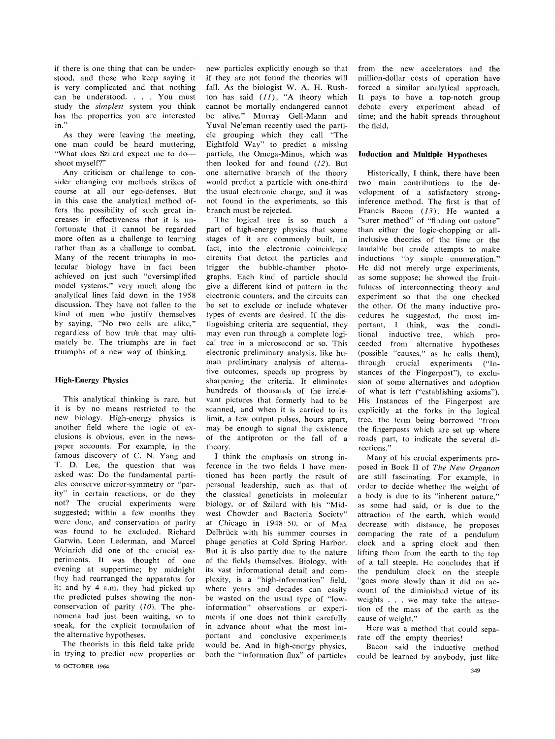**if there is one thing that can be understood, and those who keep saying it is very complicated and that nothing can be understood . . . You must study the simplest system you think has the properties you are interested in."** 

**As they were leaving the meeting, one man could be heard muttering,**  "What does Szilard expect me to do**shoot myself?"** 

**Any criticism or challenge to consider changing our methods strikes of course at all our ego-defenses. But in this case the analytical method offers the possibility of such great increases in effectiveness that it is unfortunate that it cannot be regarded more often as a challenge to learning rather than as a challenge to combat. Many of the recent triumphs in molecular biology have in fact been achieved on just such "oversimplified model systems," very much along the analytical lines laid down in the 1958 discussion. They have not fallen to the kind of men who justify themselves by saying, "No two cells are alike," regardless of how true that may ultimately be. The triumphs are in fact triumphs of a new way of thinking.** 

#### **High-Energy Physics**

**This analytical thinking is rare, but it is by no means restricted to the new biology. High-energy physics is another field where the logic of exclusions is obvious, even in the newspaper accounts. For example, in the famous discovery of C. N. Yang and T. D. Lee, the question that was asked was: Do the fundamental particles conserve mirror-symmetry or "parity" in certain reactions, or do they not? The crucial experiments were suggested; within a few months they were done, and conservation of parity was found to be excluded. Richard Garwin, Leon Lederman, and Marcel Weinrich did one of the crucial experiments. It was thought of one evening at suppertime; by midnight they had rearranged the apparatus for it; and by 4 a.m. they had picked up the predicted pulses showing the nonconservation of parity (10). The phenomena had just been waiting, so to sneak, for the explicit formulation of the alternative hypotheses.** 

**The theorists in this field take pride in trying to predict new properties or 16 OCTOBER 1964** 

**new particles explicitly enough so that if they are not found the theories will fall. As the biologist W. A. H. Rushton has said (11), "A theory which cannot be mortally endangered cannot be alive." Murray Gell-Mann and Yuval Ne'eman recently used the particle grouping which they call "The Eightfold Way" to predict a missing particle, the Omega-Minus, which was then looked for and found (12). But one alternative branch of the theory would predict a particle with one-third the usual electronic charge, and it was not found in the experiments, so this branch must be rejected.** 

**The logical tree is so much a part of high-energy physics that some stages of it are commonly built, in fact, into the electronic coincidence circuits that detect the particles and trigger the bubble-chamber photographs. Each kind of particle should give a different kind of pattern in the electronic counters, and the circuits can be set to exclude or include whatever types of events are desired. If the distinguishing criteria are sequential, they may even run through a complete logical tree in a microsecond or so. This electronic preliminary analysis, like human preliminary analysis of alternative outcomes, speeds up progress by sharpening the criteria. It eliminates hundreds of thousands of the irrelevant pictures that formerly had to be scanned, and when it is carried to its limit, a few output pulses, hours apart, may be enough to signal the existence of the antiproton or the fall of a theory.** 

**I think the emphasis on strong inference in the two fields I have mentioned has been partly the result of personal leadership, such as that of the classical geneticists in molecular biology, or of Szilard with his "Midwest Chowder and Bacteria Society" at Chicago in 1948-50, or of Max**  Delbrück with his summer courses in **phage genetics at Cold Spring Harbor. But it is also partly due to the nature of the fields themselves. Biology, with its vast informational detail and complexity, is a "high-information" field, where years and decades can easily be wasted on the usual type of "lowinformation" observations or experiments if one does not think carefully in advance about what the most important and conclusive experiments would be. And in high-energy physics, both the "information flux" of particles** 

**from the new accelerators and the million-dollar costs of operation have forced a similar analytical approach. It pays to have a top-notch group debate every experiment ahead of time; and the habit spreads throughout the field.** 

#### **Induction and Multiple Hypotheses**

**Historically, I think, there have been two main contributions to the development of a satisfactory stronginference method. The first is that of Francis Bacon (13). He wanted a "surer method" of "finding out nature" than either the logic-chopping or allinclusive theories of the time or the laudable but crude attempts to make inductions "by simple enumeration." He did not merely urge experiments, as some suppose; he showed the fruitfulness of interconnecting theory and experiment so that the one checked the other. Of the many inductive procedures he suggested, the most important, I think, was the conditional inductive tree, which proceeded from alternative hypotheses (possible "causes," as he calls them), through crucial experiments ("Instances of the Fingerpost"), to exclusion of some alternatives and adoption of what is left ("establishing axioms"). His Instances of the Fingerpost are explicitly at the forks in the logical tree, the term being borrowed "from the fingerposts which are set up where roads part, to indicate the several directions."** 

**Many of his crucial experiments proposed in Book II of The New Organon are still fascinating. For example, in order to decide whether the weight of a body is due to its "inherent nature," as some had said, or is due to the attraction of the earth, which would decrease with distance, he proposes comparing the rate of a pendulum clock and a spring clock and then lifting them from the earth to the top of a tall steeple. He concludes that if the pendulum clock on the steeple "goes more slowly than it did on account of the diminished virtue of its weights . . . we may take the attraction of the mass of the earth as the cause of weight."** 

**Here was a method that could separate off the empty theories!** 

**Bacon said the inductive method could be learned by anybody, just like**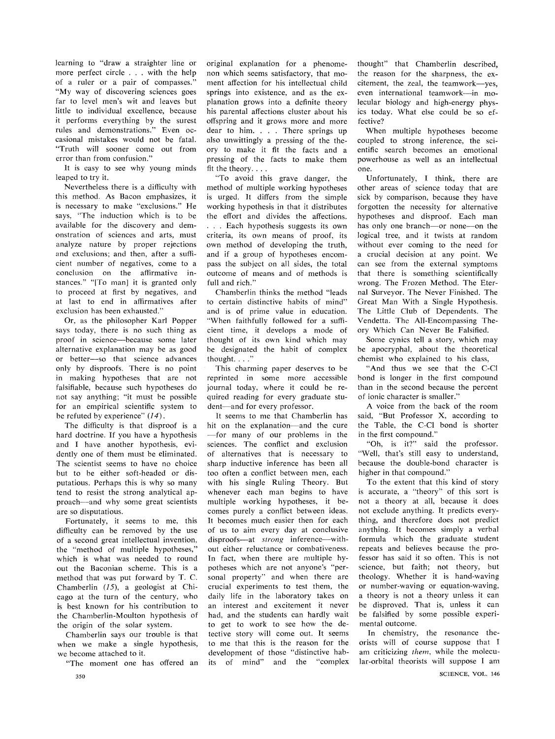**learning to "draw a straighter line or more perfect circle . . . with the help of a ruler or a pair of compasses." "My way of discovering sciences goes far to level men's wit and leaves but little to individual excellence, because it performs everything by the surest rules and demonstrations." Even occasional mistakes would not be fatal. "Truth will sooner come out from error than from confusion."** 

**It is easy to see why young minds leaped to try it.** 

**Nevertheless there is a difficulty with this method. As Bacon emphasizes, it is necessary to make "exclusions." He says, "The induction which is to be available for the discovery and demonstration of sciences and arts, must analyze nature by proper rejections and exclusions; and then, after a sufficient number of negatives, come to a conclusion on the affirmative instances." "[To man] it is granted only to proceed at first by negatives, and at last to end in affirmatives after exclusion has been exhausted."** 

**Or, as the philosopher Karl Popper says today, there is no such thing as proof in science-because some later alternative explanation may be as good or better-so that science advances only by disproofs. There is no point in making hypotheses that are not falsifiable, because such hypotheses do not say anything; "it must be possible for an empirical scientific system to be refuted by experience" (14).** 

**The difficulty is that disproof is a hard doctrine. If you have a hypothesis and I have another hypothesis, evidently one of them must be eliminated. The scientist seems to have no choice but to be either soft-headed or disputatious. Perhaps this is why so many tend to resist the strong analytical approach-and why some great scientists are so disputatious.** 

**Fortunately, it seems to me, this difficulty can be removed by the use of a second great intellectual invention, the "method of multiple hypotheses," which is what was needed to round out the Baconian scheme. This is a method that was put forward by T. C. Chamberlin (15), a geologist at Chicago at the turn of the century, who is best known for his contribution to the Chamberlin-Moulton hypothesis of the origin of the solar system.** 

**Chamberlin says our trouble is that when we make a single hypothesis, we become attached to it.** 

**"The moment one has offered an** 

**original explanation for a phenomenon which seems satisfactory, that moment affection for his intellectual child springs into existence, and as the explanation grows into a definite theory his parental affections cluster about his offspring and it grows more and more dear to him. . . . There springs up also unwittingly a pressing of the theory to make it fit the facts and a pressing of the facts to make them fit the theory....** 

**"To avoid this grave danger, the method of multiple working hypotheses is urged. It differs from the simple working hypothesis in that it distributes the effort and divides the affections. . . . Each hypothesis suggests its own criteria, its own means of proof, its own method of developing the truth, and if a group of hypotheses encompass the subject on all sides, the total outcome of means and of methods is full and rich."** 

**Chamberlin thinks the method "leads to certain distinctive habits of mind" and is of prime value in education. "When faithfully followed for a sufficient time, it develops a mode of thought of its own kind which may be designated the habit of complex thought .. ."** 

**This charming paper deserves to be reprinted in some more accessible journal today, where it could be required reading for every graduate student-and for every professor.** 

**It seems to me that Chamberlin has hit on the explanation-and the cure -for many of our problems in the sciences. The conflict and exclusion of alternatives that is necessary to sharp inductive inference has been all too often a conflict between men, each with his single Ruling Theory. But whenever each man begins to have multiple working hypotheses, it becomes purely a conflict between ideas. It becomes much easier then for each of us to aim every day at conclusive**  disproofs-at strong inference-with**out either reluctance or combativeness. In fact, when there are multiple hypotheses which are not anyone's "personal property" and when there are crucial experiments to test them, the daily life in the laboratory takes on an interest and excitement it never had, and the students can hardly wait to get to work to see how the detective story will come out. It seems to me that this is the reason for the development of those "distinctive habits of mind" and the "complex** 

**thought" that Chamberlin described, the reason for the sharpness, the excitement, the zeal, the teamwork-yes, even international teamwork-in molecular biology and high-energy physics today. What else could be so effective?** 

**When multiple hypotheses become coupled to strong inference, the scientific search becomes an emotional powerhouse as well as an intellectual one.** 

**Unfortunately, I think, there are other areas of science today that are sick by comparison, because they have forgotten the necessity for alternative hypotheses and disproof. Each man**  has only one branch----or none----on the **logical tree, and it twists at random without ever coming to the need for a crucial decision at any point. We can see from the external symptoms that there is something scientifically wrong. The Frozen Method. The Eternal Surveyor. The Never Finished. The Great Man With a Single Hypothesis. The Little Club of Dependents. The Vendetta. The All-Encompassing Theory Which Can Never Be Falsified.** 

**Some cynics tell a story, which may be apocryphal, about the theoretical chemist who explained to his class,** 

**"And thus we see that the C-Cl bond is longer in the first compound than in the second because the percent of ionic character is smaller."** 

**A voice from the back of the room said, "But Professor X, according to the Table, the C-C1 bond is shorter in the first compound."** 

**"Oh, is it?" said the professor. "Well, that's still easy to understand, because the double-bond character is higher in that compound."** 

**To the extent that this kind of story is accurate, a "theory" of this sort is not a theory at all, because it does not exclude anything. It predicts everything, and therefore does not predict anything. It becomes simply a verbal formula which the graduate student repeats and believes because the professor has said it so often. This is not science, but faith; not theory, but theology. Whether it is hand-waving or number-waving or equation-waving, a theory is not a theory unless it can be disproved. That is, unless it can be falsified by some possible experimental outcome.** 

**In chemistry, the resonance theorists will of course suppose that I am criticizing them, while the molecular-orbital theorists will suppose I am**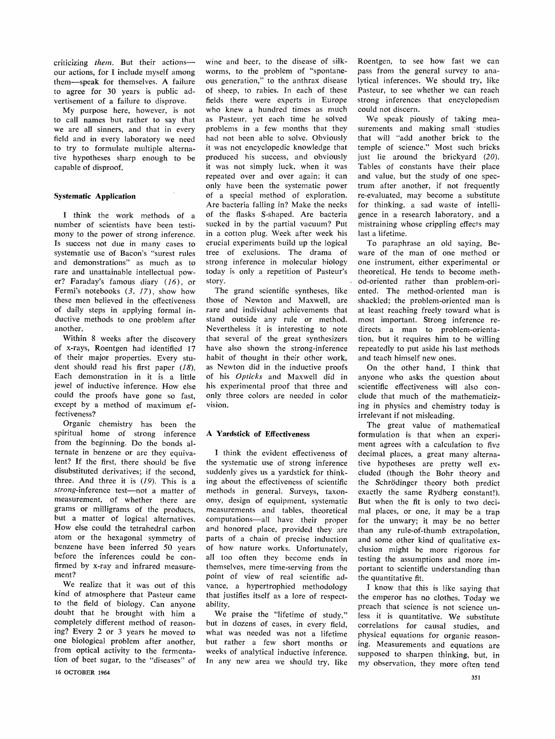**criticizing them. But their actionsour actions, for I include myself among them-speak for themselves. A failure to agree for 30 years is public advertisement of a failure to disprove.** 

**My purpose here, however, is not to call names but rather to say that we are all sinners, and that in every field and in every laboratory we need to try to formulate multiple alternative hypotheses sharp enough to be capable of disproof.** 

#### **Systematic Application**

**I think the work methods of a number of scientists have been testimony to the power of strong inference. Is success not due in many cases to systematic use of Bacon's "surest rules and demonstrations" as much as to rare and unattainable intellectual power? Faraday's famous diary (16), or Fermi's notebooks (3, 17), show how these men believed in the effectiveness of daily steps in applying formal inductive methods to one problem after another.** 

**Within 8 weeks after the discovery of x-rays, Roentgen had identified 17 of their major properties. Every student should read his first paper (18). Each demonstration in it is a little jewel of inductive inference. How else could the proofs have gone so fast, except by a method of maximum effectiveness?** 

**Organic chemistry has been the spiritual home of strong inference from the beginning. Do the bonds alternate in benzene or are they equivalent? If the first, there should be five disubstituted derivatives; if the second, three. And three it is (19). This is a strong-inference test-not a matter of measurement, of whether there are grams or milligrams of the products, but a matter of logical alternatives. How else could the tetrahedral carbon atom or the hexagonal symmetry of benzene have been inferred 50 years before the inferences could be confirmed by x-ray and infrared measurement?** 

**We realize that it was out of this kind of atmosphere that Pasteur came to the field of biology. Can anyone doubt that he brought with him a completely different method of reasoning? Every 2 or 3 years he moved to one biological problem after another, from optical activity to the fermentation of beet sugar, to the "diseases" of** 

**16 OCTOBER 1964** 

**wine and beer, to the disease of silkworms, to the problem of "spontaneous generation," to the anthrax disease of sheep, to rabies. In each of these fields there were experts in Europe who knew a hundred times as much as Pasteur, yet each time he solved problems in a few months that they had not been able to solve. Obviously it was not encyclopedic knowledge that produced his success, and obviously it was not simply luck, when it was repeated over and over again; it can only have been the systematic power of a special method of exploration. Are bacteria falling in? Make the necks of the flasks S-shaped. Are bacteria sucked in by the partial vacuum? Put in a cotton plug. Week after week his crucial experiments build up the logical tree of exclusions. The drama of strong inference in molecular biology today is only a repetition of Pasteur's story.** 

**The grand scientific syntheses, like those of Newton and Maxwell, are rare and individual achievements that stand outside any rule or method. Nevertheless it is interesting to note that several of the great synthesizers have also shown the strong-inference habit of thought in their other work, as Newton did in the inductive proofs of his Opticks and Maxwell did in his experimental proof that three and only three colors are needed in color vision.** 

#### **A Yardstick of Effectiveness**

**I think the evident effectiveness of the systematic use of strong inference suddenly gives us a yardstick for thinking about the effectiveness of scientific methods in general. Surveys, taxonomy, design of equipment, systematic measurements and tables, theoretical computations-all have their proper and honored place, provided they are parts of a chain of precise induction of how nature works. Unfortunately, all too often they become ends in themselves, mere time-serving from the point of view of real scientific advance, a hypertrophied methodology that justifies itself as a lore of respectability.** 

**We praise the "lifetime of study," but in dozens of cases, in every field, what was needed was not a lifetime but rather a few short months or weeks of analytical inductive inference. In any new area we should try, like**  **Roentgen, to see how fast we can pass from the general survey to analytical inferences. We should try, like Pasteur, to see whether we can reach strong inferences that encyclopedism could not discern.** 

**We speak piously of taking measurements and making small 'studies that will "add another brick to the temple of science." Most such bricks just lie around the brickyard (20). Tables of constants have their place and value, but the study of one spectrum after another, if not frequently re-evaluated, may become a substitute for thinking, a sad waste of intelligence in a research laboratory, and a mistraining whose crippling effects may last a lifetime.** 

**To paraphrase an old saying, Beware of the man of one method or one instrument, either experimental or theoretical. He tends to become method-oriented rather than problem-oriented. The method-oriented man is shackled; the problem-oriented man is at least reaching freely toward what is most important. Strong inference redirects a man to problem-orientation, but it requires him to be willing repeatedly to put aside his last methods and teach himself new ones.** 

**On the other hand, I think that anyone who asks the question about scientific effectiveness will also conclude that much of the mathematicizing in physics and chemistry today is irrelevant if not misleading.** 

**The great value of mathematical formulation is that when an experiment agrees with a calculation to five decimal places, a great many alternative hypotheses are pretty well excluded (though the Bohr theory and the Schr6dinger theory both predict exactly the same Rydberg constant!). But when the fit is only to two decimal places, or one, it may be a trap for the unwary; it may be no better than any rule-of-thumb extrapolation, and some other kind of qualitative exclusion might be more rigorous for testing the assumptions and more important to scientific understanding than the quantitative fit.** 

**I know that this is like saying that the emperor has no clothes. Today we preach that science is not science unless it is quantitative. We substitute correlations for causal studies, and physical equations for organic reasoning. Measurements and equations are supposed to sharpen thinking, but, in my observation, they more often tend**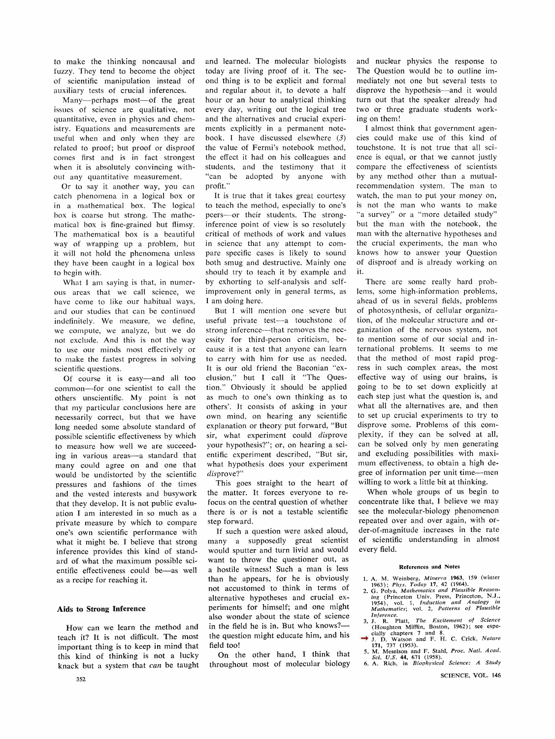**to make the thinking noncausal and fuzzy. They tend to become the object of scientific manipulation instead of auxiliary tests of crucial inferences.** 

**Many-perhaps most-of the great issues of science are qualitative, not quantitative, even in physics and chemistry. Equations and measurements are useful when and only when they are related to proof; but proof or disproof comes first and is in fact strongest when it is absolutely convincing without any quantitative measurement.** 

**Or to say it another way, you can catch phenomena in a logical box or in a mathematical box. The logical box is coarse but strong. The mathematical box is fine-grained but flimsy. The mathematical box is a beautiful way of wrapping up a problem, but it will not hold the phenomena unless they have been caught in a logical box to begin with.** 

**What I am saying is that, in numerous areas that we call science, we have come to like our habitual ways, and our studies that can be continued indefinitely. We measure, we define, we compute, we analyze, but we do not exclude. And this is not the way to use our minds most effectively or to make the fastest progress in solving scientific questions.** 

**Of course it is easy-and all too common-for one scientist to call the others unscientific. My point is not that my particular conclusions here are necessarily correct, but that we have long needed some absolute standard of possible scientific effectiveness by which to measure how well we are succeed**ing in various areas—a standard that **many could agree on and one that would be undistorted by the scientific pressures and fashions of the times and the vested interests and busywork that they develop. It is not public evaluation I am interested in so much as a private measure by which to compare one's own scientific performance with what it might be. I believe that strong inference provides this kind of standard of what the maximum possible sci**entific effectiveness could be-as well **as a recipe for reaching it.** 

#### **Aids to Strong Inference**

**How can we learn the method and teach it? It is not difficult. The most important thing is to keep in mind that this kind of thinking is not a lucky knack but a system that can be taught** 

**and learned. The molecular biologists today are living proof of it. The second thing is to be explicit and formal and regular about it, to devote a half hour or an hour to analytical thinking every day, writing out the logical tree and the alternatives and crucial experiments explicitly in a permanent notebook. I have discussed elsewhere (3) the value of Fermi's notebook method, the effect it had on his colleagues and students, and the testimony that it "can be adopted by anyone with profit."** 

**It is true that it takes great courtesy to teach the method, especially to one's peers-or their students. The stronginference point of view is so resolutely critical of methods of work and values in science that any attempt to compare specific cases is likely to sound both smug and destructive. Mainly one should try to teach it by example and by exhorting to self-analysis and selfimprovement only in general terms, as I am doing here.** 

**But I will mention one severe but useful private test-a touchstone of**  strong inference—that removes the nec**essity for third-person criticism, because it is a test that anyone can learn to carry with him for use as needed. It is our old friend the Baconian "exclusion," but I call it "The Question." Obviously it should be applied as much to one's own thinking as to others'. It consists of asking in your own mind, on hearing any scientific explanation or theory put forward, "But sir, what experiment could disprove your hypothesis?"; or, on hearing a scientific experiment described, "But sir, what hypothesis does your experiment disprove?"** 

**This goes straight to the heart of the matter. It forces everyone to refocus on the central question of whether there is or is not a testable scientific step forward.** 

**If such a question were asked aloud, many a supposedly great scientist would sputter and turn livid and would want to throw the questioner out, as a hostile witness! Such a man is less than he appears, for he is obviously not accustomed to think in terms of alternative hypotheses and crucial experiments for himself; and one might also wonder about the state of science**  in the field he is in. But who knows?**the question might educate him, and his field too!** 

**On the other hand, I think that throughout most of molecular biology** 

**and nuclear physics the response to The Question would be to outline immediately not one but several tests to disprove the hypothesis-and it would turn out that the speaker already had two or three graduate students working on them!** 

**I almost think that government agencies could make use of this kind of**  touchstone. It is not true that all sci**ence is equal, or that we cannot justly compare the effectiveness of scientists by any method other than a mutualrecommendation system. The man to watch, the man to put your money on, is not the man who wants to make "a survey" or a "more detailed study" but the man with the notebook, the man with the alternative hypotheses and the crucial experiments, the man who knows how to answer your Question of disproof and is already working on it.** 

**There are some really hard problems, some high-information problems, ahead of us in several fields, problems of photosynthesis, of cellular organization, of the molceular structure and organization of the nervous system, not to mention some of our social and international problems. It seems to me that the method of most rapid progress in such complex areas, the most effective way of using our brains, is going to be to set down explicitly at each step just what the question is, and what all the alternatives are, and then to set up crucial experiments to try to disprove some. Problems of this complexity, if they can be solved at all, can be solved only by men generating and excluding possibilities with maximum effectiveness, to obtain a high degree of information per unit time-men willing to work a little bit at thinking.** 

**When whole groups of us begin to concentrate like that, I believe we may see the molecular-biology phenomenon repeated over and over again, with order-of-magnitude increases in the rate of scientific understanding in almost every field.** 

#### **References and Notes**

- **1. A. M. Weinberg, Minerva 1963, 159 (winter 1963); Phys. Today 17, 42 (1964).**<br> **2. G. Polya, Mathematics and Plausible Reason-**<br> **ing (Princeton Univ. Press, Princeton, N.J.,**
- **1954), vol. 1, Induction and Analogy in Mathematics; vol. 2, Patterns of Plausible**
- **Inference. 3. J. R. Platt, The Excitement of Science (Houghton Mifflin, Boston, 1962); see espe-cially chapters 7 and 8. 4. J. D. Watson and F. H. C. Crick, Nature**
- 
- **171, 737 (1953). 5. M. Meselson and F. Stahl, Proc. Natl. Acad, Sci. U.S. 44, 671 (1958). 6. A. Rich, in Biophysical Science: A Study**